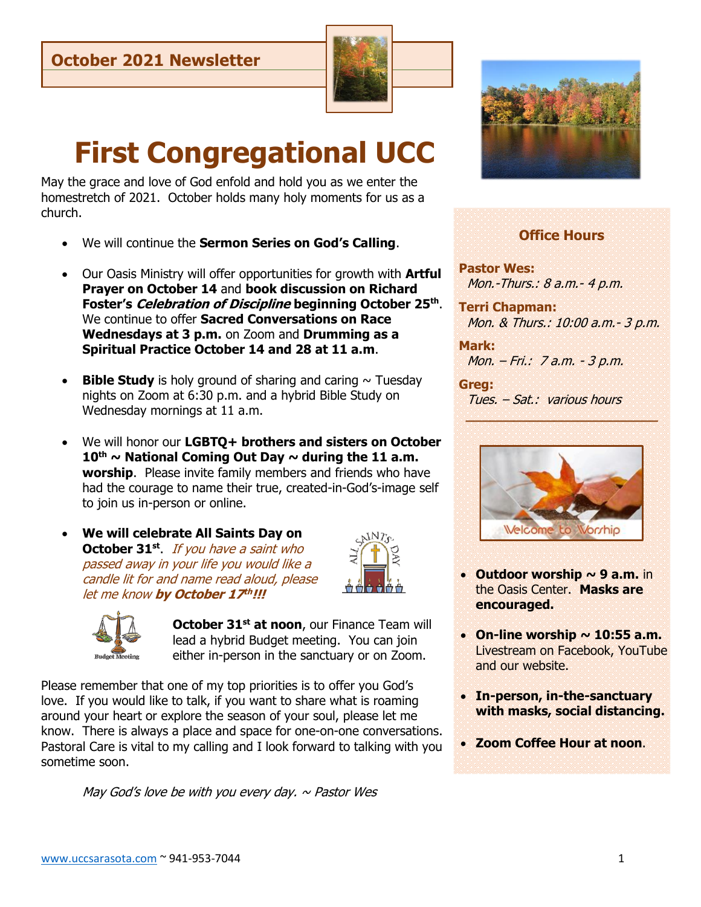

# **First Congregational UCC**

May the grace and love of God enfold and hold you as we enter the homestretch of 2021. October holds many holy moments for us as a church.

- We will continue the **Sermon Series on God's Calling**.
- Our Oasis Ministry will offer opportunities for growth with **Artful Prayer on October 14** and **book discussion on Richard Foster's Celebration of Discipline beginning October 25th** . We continue to offer **Sacred Conversations on Race Wednesdays at 3 p.m.** on Zoom and **Drumming as a Spiritual Practice October 14 and 28 at 11 a.m**.
- **Bible Study** is holy ground of sharing and caring  $\sim$  Tuesday nights on Zoom at 6:30 p.m. and a hybrid Bible Study on Wednesday mornings at 11 a.m.
- We will honor our **LGBTQ+ brothers and sisters on October 10th ~ National Coming Out Day ~ during the 11 a.m. worship**. Please invite family members and friends who have had the courage to name their true, created-in-God's-image self to join us in-person or online.
- **We will celebrate All Saints Day on October 31<sup>st</sup>**. If you have a saint who passed away in your life you would like a candle lit for and name read aloud, please let me know **by October 17 th !!!**





**October 31st at noon**, our Finance Team will lead a hybrid Budget meeting. You can join either in-person in the sanctuary or on Zoom.

Please remember that one of my top priorities is to offer you God's love. If you would like to talk, if you want to share what is roaming around your heart or explore the season of your soul, please let me know. There is always a place and space for one-on-one conversations. Pastoral Care is vital to my calling and I look forward to talking with you sometime soon.

May God's love be with you every day.  $\sim$  Pastor Wes



# **Office Hours**

**Pastor Wes:**  Mon.-Thurs.: 8 a.m.- 4 p.m.

**Terri Chapman:**  Mon. & Thurs.: 10:00 a.m.- 3 p.m.

**Mark:** Mon. – Fri.: 7 a.m. - 3 p.m.

**Greg:**  Tues. – Sat.: various hours



 **\_\_\_\_\_\_\_\_\_\_\_\_\_\_\_\_\_\_\_\_\_\_\_\_**

- **Outdoor worship ~ 9 a.m.** in the Oasis Center. **Masks are encouraged.**
- On-line worship  $\sim$  10:55 a.m. Livestream on Facebook, YouTube and our website.
- **In-person, in-the-sanctuary with masks, social distancing.**
- **Zoom Coffee Hour at noon**.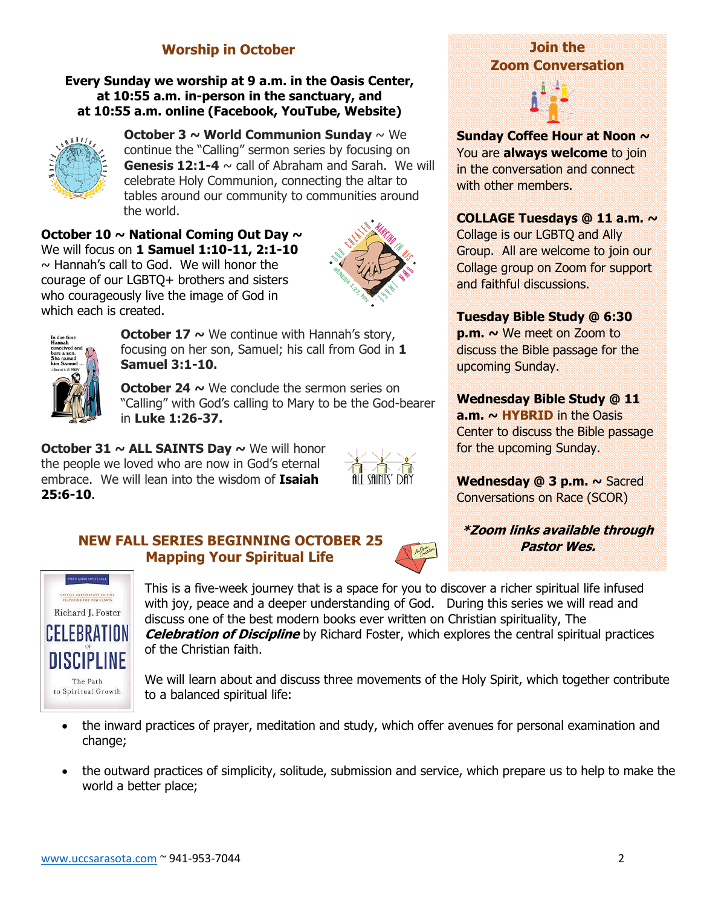# **Worship in October**

#### **Every Sunday we worship at 9 a.m. in the Oasis Center, at 10:55 a.m. in-person in the sanctuary, and at 10:55 a.m. online (Facebook, YouTube, Website)**



**October 3 ~ World Communion Sunday** ~ We continue the "Calling" sermon series by focusing on **Genesis 12:1-4**  $\sim$  call of Abraham and Sarah. We will celebrate Holy Communion, connecting the altar to tables around our community to communities around the world.

**October 10 ~ National Coming Out Day ~**  We will focus on **1 Samuel 1:10-11, 2:1-10**  $\sim$  Hannah's call to God. We will honor the courage of our LGBTQ+ brothers and sisters who courageously live the image of God in which each is created.





**October 17 ~** We continue with Hannah's story, focusing on her son, Samuel; his call from God in **1 Samuel 3:1-10.**

**October 24 ~** We conclude the sermon series on "Calling" with God's calling to Mary to be the God-bearer in **Luke 1:26-37.**

**October 31 ~ ALL SAINTS Day ~** We will honor the people we loved who are now in God's eternal embrace. We will lean into the wisdom of **Isaiah 25:6-10**.



# **NEW FALL SERIES BEGINNING OCTOBER 25 Mapping Your Spiritual Life**



# **Join the Zoom Conversation**

**Sunday Coffee Hour at Noon ~**  You are **always welcome** to join in the conversation and connect with other members.

## **COLLAGE Tuesdays @ 11 a.m. ~**

Collage is our LGBTQ and Ally Group. All are welcome to join our Collage group on Zoom for support and faithful discussions.

## **Tuesday Bible Study @ 6:30**

**p.m. ~** We meet on Zoom to discuss the Bible passage for the upcoming Sunday.

## **Wednesday Bible Study @ 11**

**a.m. ~ HYBRID** in the Oasis Center to discuss the Bible passage for the upcoming Sunday.

**Wednesday @ 3 p.m. ~** Sacred Conversations on Race (SCOR)

**\*Zoom links available through Pastor Wes.**



This is a five-week journey that is a space for you to discover a richer spiritual life infused with joy, peace and a deeper understanding of God. During this series we will read and discuss one of the best modern books ever written on Christian spirituality, The **Celebration of Discipline** by Richard Foster, which explores the central spiritual practices of the Christian faith.

We will learn about and discuss three movements of the Holy Spirit, which together contribute to a balanced spiritual life:

- the inward practices of prayer, meditation and study, which offer avenues for personal examination and change;
- the outward practices of simplicity, solitude, submission and service, which prepare us to help to make the world a better place;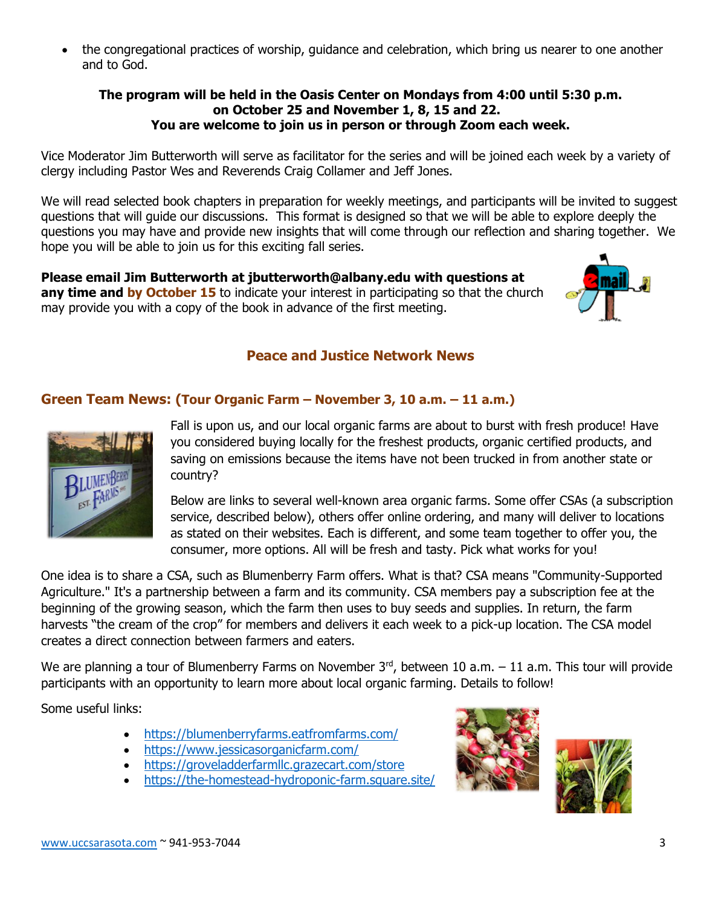• the congregational practices of worship, guidance and celebration, which bring us nearer to one another and to God.

#### **The program will be held in the Oasis Center on Mondays from 4:00 until 5:30 p.m. on October 25 and November 1, 8, 15 and 22. You are welcome to join us in person or through Zoom each week.**

Vice Moderator Jim Butterworth will serve as facilitator for the series and will be joined each week by a variety of clergy including Pastor Wes and Reverends Craig Collamer and Jeff Jones.

We will read selected book chapters in preparation for weekly meetings, and participants will be invited to suggest questions that will guide our discussions. This format is designed so that we will be able to explore deeply the questions you may have and provide new insights that will come through our reflection and sharing together. We hope you will be able to join us for this exciting fall series.

**Please email Jim Butterworth at jbutterworth@albany.edu with questions at**  any time and by October 15 to indicate your interest in participating so that the church may provide you with a copy of the book in advance of the first meeting.

# **Peace and Justice Network News**

## **Green Team News: (Tour Organic Farm – November 3, 10 a.m. – 11 a.m.)**



Fall is upon us, and our local organic farms are about to burst with fresh produce! Have you considered buying locally for the freshest products, organic certified products, and saving on emissions because the items have not been trucked in from another state or country?

Below are links to several well-known area organic farms. Some offer CSAs (a subscription service, described below), others offer online ordering, and many will deliver to locations as stated on their websites. Each is different, and some team together to offer you, the consumer, more options. All will be fresh and tasty. Pick what works for you!

One idea is to share a CSA, such as Blumenberry Farm offers. What is that? CSA means "Community-Supported Agriculture." It's a partnership between a farm and its community. CSA members pay a subscription fee at the beginning of the growing season, which the farm then uses to buy seeds and supplies. In return, the farm harvests "the cream of the crop" for members and delivers it each week to a pick-up location. The CSA model creates a direct connection between farmers and eaters.

We are planning a tour of Blumenberry Farms on November  $3<sup>rd</sup>$ , between 10 a.m.  $-$  11 a.m. This tour will provide participants with an opportunity to learn more about local organic farming. Details to follow!

Some useful links:

- [https://blumenberryfarms.eatfromfarms.com/](about:blank)
- [https://www.jessicasorganicfarm.com/](about:blank)
- [https://groveladderfarmllc.grazecart.com/store](about:blank)
- https://the-homestead-hydroponic-farm.square.site/



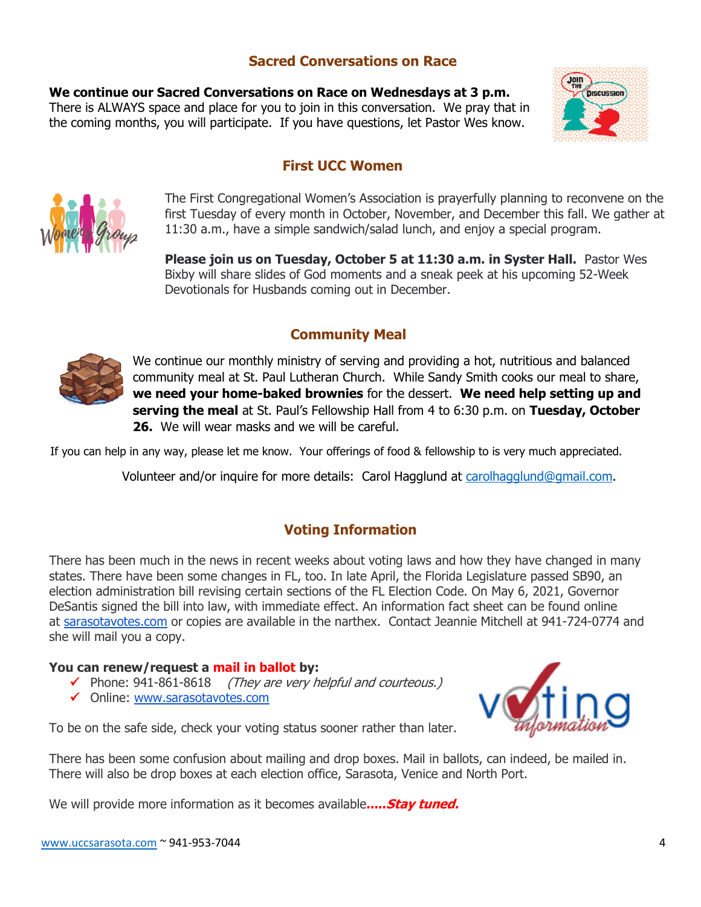# **Sacred Conversations on Race**

**We continue our Sacred Conversations on Race on Wednesdays at 3 p.m.**  There is ALWAYS space and place for you to join in this conversation. We pray that in the coming months, you will participate. If you have questions, let Pastor Wes know.



# **First UCC Women**



The First Congregational Women's Association is prayerfully planning to reconvene on the first Tuesday of every month in October, November, and December this fall. We gather at 11:30 a.m., have a simple sandwich/salad lunch, and enjoy a special program.

**Please join us on Tuesday, October 5 at 11:30 a.m. in Syster Hall.** Pastor Wes Bixby will share slides of God moments and a sneak peek at his upcoming 52-Week Devotionals for Husbands coming out in December.

# **Community Meal**



We continue our monthly ministry of serving and providing a hot, nutritious and balanced community meal at St. Paul Lutheran Church. While Sandy Smith cooks our meal to share, **we need your home-baked brownies** for the dessert. **We need help setting up and serving the meal** at St. Paul's Fellowship Hall from 4 to 6:30 p.m. on **Tuesday, October 26.** We will wear masks and we will be careful.

If you can help in any way, please let me know. Your offerings of food & fellowship to is very much appreciated.

Volunteer and/or inquire for more details: Carol Hagglund at [carolhagglund@gmail.com.](about:blank)

# **Voting Information**

 states. There have been some changes in FL, too. In late April, the Florida Legislature passed SB90, an There has been much in the news in recent weeks about voting laws and how they have changed in many election administration bill revising certain sections of the FL Election Code. On May 6, 2021, Governor DeSantis signed the bill into law, with immediate effect. An information fact sheet can be found online at [sarasotavotes.com](http://sarasotavotes.com/) or copies are available in the narthex. Contact Jeannie Mitchell at 941-724-0774 and she will mail you a copy.

#### **You can renew/request a mail in ballot by:**

- ✓ Phone: 941-861-8618 (They are very helpful and courteous.)
- ✓ Online: [www.sarasotavotes.com](http://www.sarasota/)



To be on the safe side, check your voting status sooner rather than later.

There has been some confusion about mailing and drop boxes. Mail in ballots, can indeed, be mailed in. There will also be drop boxes at each election office, Sarasota, Venice and North Port.

We will provide more information as it becomes available**.....Stay tuned.**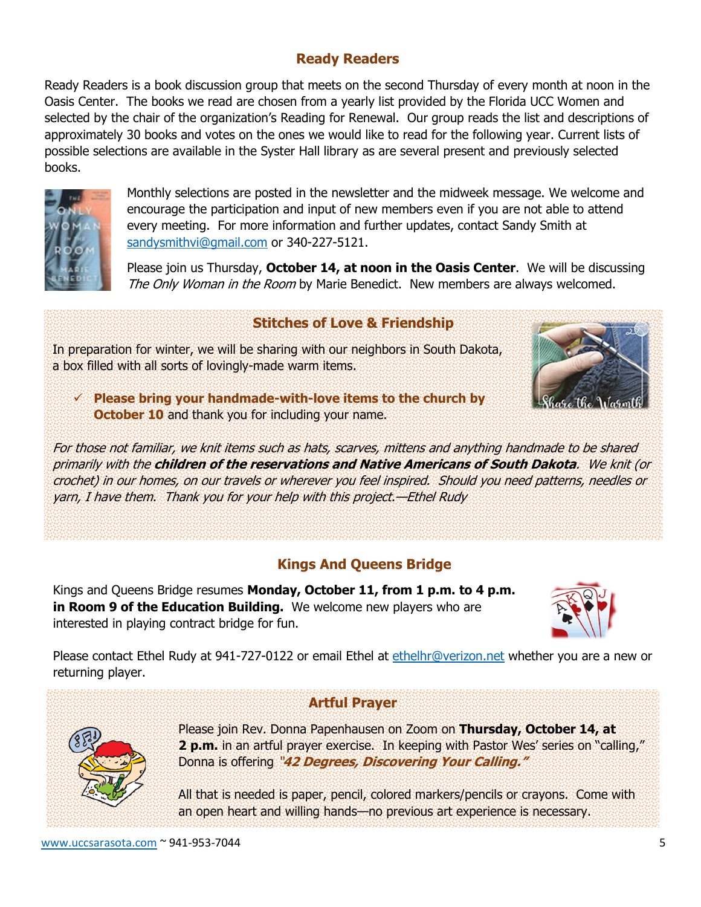# **Ready Readers**

Ready Readers is a book discussion group that meets on the second Thursday of every month at noon in the Oasis Center. The books we read are chosen from a yearly list provided by the Florida UCC Women and selected by the chair of the organization's Reading for Renewal. Our group reads the list and descriptions of approximately 30 books and votes on the ones we would like to read for the following year. Current lists of possible selections are available in the Syster Hall library as are several present and previously selected books.



Monthly selections are posted in the newsletter and the midweek message. We welcome and encourage the participation and input of new members even if you are not able to attend every meeting. For more information and further updates, contact Sandy Smith at [sandysmithvi@gmail.com](about:blank) or 340-227-5121.

Please join us Thursday, **October 14, at noon in the Oasis Center**. We will be discussing The Only Woman in the Room by Marie Benedict. New members are always welcomed.

# **Stitches of Love & Friendship**

In preparation for winter, we will be sharing with our neighbors in South Dakota, a box filled with all sorts of lovingly-made warm items.

✓ **Please bring your handmade-with-love items to the church by October 10** and thank you for including your name.

For those not familiar, we knit items such as hats, scarves, mittens and anything handmade to be shared primarily with the **children of the reservations and Native Americans of South Dakota**. We knit (or crochet) in our homes, on our travels or wherever you feel inspired. Should you need patterns, needles or yarn, I have them. Thank you for your help with this project.—Ethel Rudy

# **Kings And Queens Bridge**

Kings and Queens Bridge resumes **Monday, October 11, from 1 p.m. to 4 p.m. in Room 9 of the Education Building.** We welcome new players who are interested in playing contract bridge for fun.



Please contact Ethel Rudy at 941-727-0122 or email Ethel at [ethelhr@verizon.net](about:blank) whether you are a new or returning player.

# **Artful Prayer**



Please join Rev. Donna Papenhausen on Zoom on **Thursday, October 14, at 2 p.m.** in an artful prayer exercise. In keeping with Pastor Wes' series on "calling," Donna is offering "**42 Degrees, Discovering Your Calling."**

All that is needed is paper, pencil, colored markers/pencils or crayons. Come with an open heart and willing hands—no previous art experience is necessary.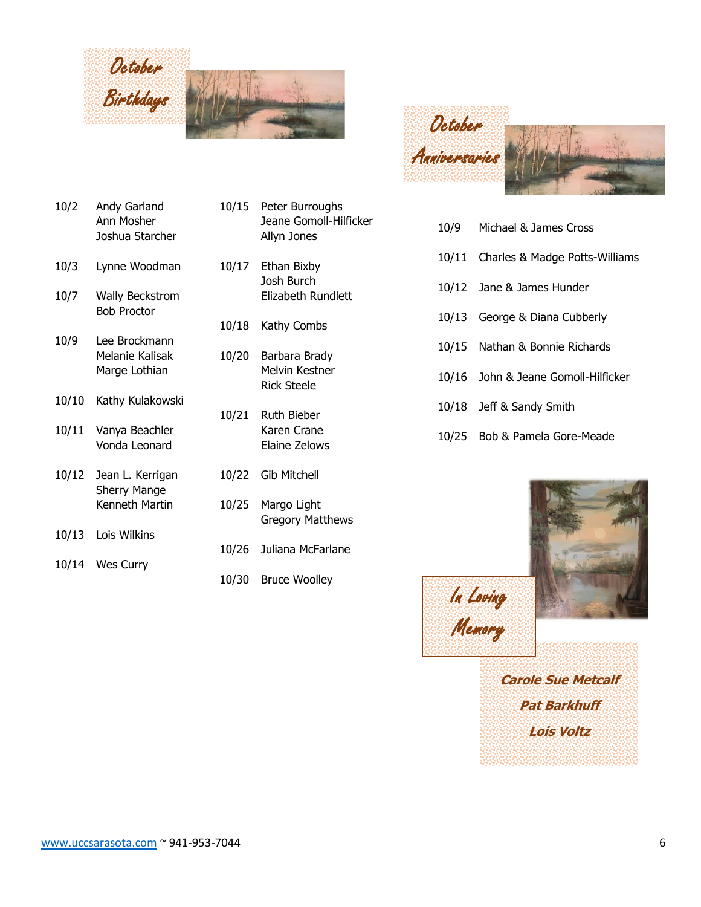

- 10/2 Andy Garland 10/15 Peter Burroughs
- 10/3 Lynne Woodman 10/17 Ethan Bixby
- Bob Proctor
- 10/9 Lee Brockmann
- 10/10 Kathy Kulakowski
- 10/11 Vanya Beachler Karen Crane
- 10/12 Jean L. Kerrigan 10/22 Gib Mitchell Sherry Mange
- 10/13 Lois Wilkins
- 10/14 Wes Curry
- Ann Mosher Jeane Gomoll-Hilficker Joshua Starcher **Allyn Jones**
- Josh Burch 10/7 Wally Beckstrom Elizabeth Rundlett
	- 10/18 Kathy Combs
	- Melanie Kalisak 10/20 Barbara Brady Marge Lothian Melvin Kestner Rick Steele
	- 10/21 Ruth Bieber Vonda Leonard Elaine Zelows
		-
	- Kenneth Martin 10/25 Margo Light Gregory Matthews
		- 10/26 Juliana McFarlane
		- 10/30 Bruce Woolley



- 10/9 Michael & James Cross
- 10/11 Charles & Madge Potts-Williams
- 10/12 Jane & James Hunder
- 10/13 George & Diana Cubberly
- 10/15 Nathan & Bonnie Richards
- 10/16 John & Jeane Gomoll-Hilficker
- 10/18 Jeff & Sandy Smith

In Loving

Memory

10/25 Bob & Pamela Gore-Meade



**Carole Sue Metcalf Pat Barkhuff Lois Voltz** aysan<br>aysan<br>aysan<br>aysan<br>aysan<br>aysan<br>aysan